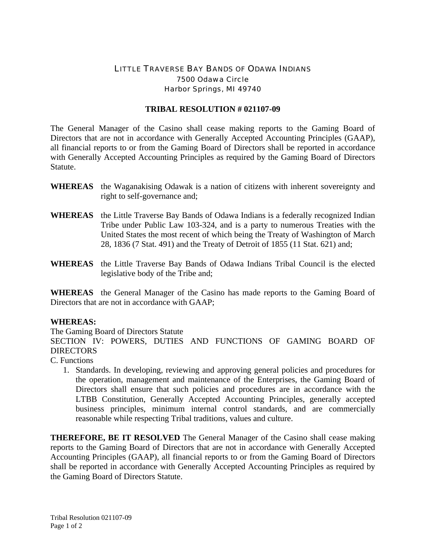## LITTLE TRAVERSE BAY BANDS OF ODAWA INDIANS 7500 Odawa Circle Harbor Springs, MI 49740

## **TRIBAL RESOLUTION # 021107-09**

The General Manager of the Casino shall cease making reports to the Gaming Board of Directors that are not in accordance with Generally Accepted Accounting Principles (GAAP), all financial reports to or from the Gaming Board of Directors shall be reported in accordance with Generally Accepted Accounting Principles as required by the Gaming Board of Directors Statute.

- **WHEREAS** the Waganakising Odawak is a nation of citizens with inherent sovereignty and right to self-governance and;
- **WHEREAS** the Little Traverse Bay Bands of Odawa Indians is a federally recognized Indian Tribe under Public Law 103-324, and is a party to numerous Treaties with the United States the most recent of which being the Treaty of Washington of March 28, 1836 (7 Stat. 491) and the Treaty of Detroit of 1855 (11 Stat. 621) and;
- **WHEREAS** the Little Traverse Bay Bands of Odawa Indians Tribal Council is the elected legislative body of the Tribe and;

**WHEREAS** the General Manager of the Casino has made reports to the Gaming Board of Directors that are not in accordance with GAAP;

## **WHEREAS:**

The Gaming Board of Directors Statute

SECTION IV: POWERS, DUTIES AND FUNCTIONS OF GAMING BOARD OF **DIRECTORS** 

C. Functions

1. Standards. In developing, reviewing and approving general policies and procedures for the operation, management and maintenance of the Enterprises, the Gaming Board of Directors shall ensure that such policies and procedures are in accordance with the LTBB Constitution, Generally Accepted Accounting Principles, generally accepted business principles, minimum internal control standards, and are commercially reasonable while respecting Tribal traditions, values and culture.

**THEREFORE, BE IT RESOLVED** The General Manager of the Casino shall cease making reports to the Gaming Board of Directors that are not in accordance with Generally Accepted Accounting Principles (GAAP), all financial reports to or from the Gaming Board of Directors shall be reported in accordance with Generally Accepted Accounting Principles as required by the Gaming Board of Directors Statute.